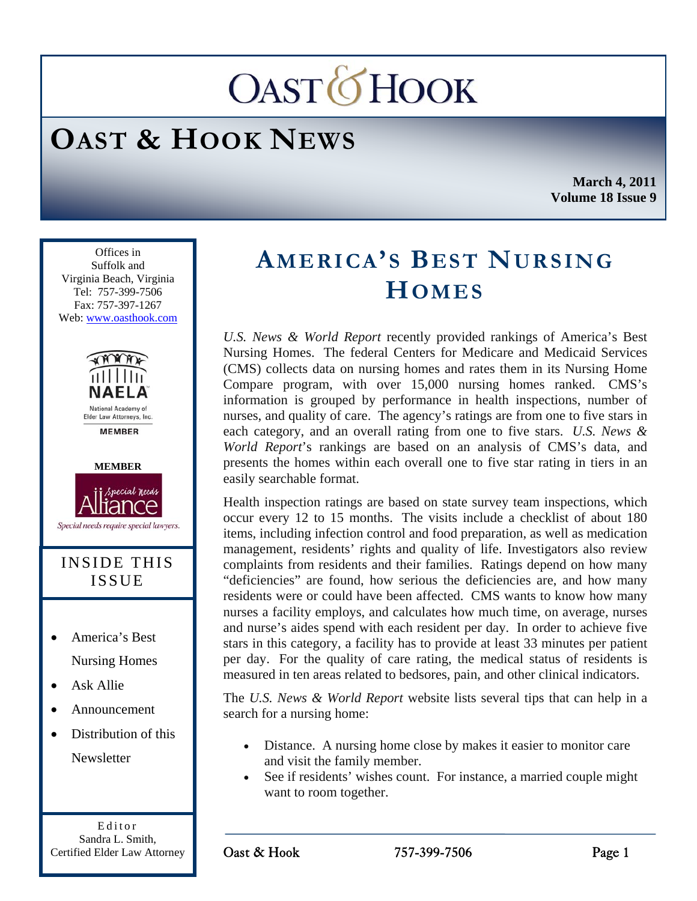# **OAST***OHOOK*

## **OAST & HOOK NEWS**

**March 4, 2011 Volume 18 Issue 9** 

Ī Offices in Suffolk and Virginia Beach, Virginia Tel: 757-399-7506 Fax: 757-397-1267 Web: www.oasthook.com



Elder Law Attorneys, Inc. **MEMRER** 



Special needs require special lawyers.

#### INSIDE THIS ISSUE

- America's Best Nursing Homes
- Ask Allie
- Announcement
- Distribution of this Newsletter

Editor Sandra L. Smith, Certified Elder Law Attorney

### **AMERICA'S BEST NURSING HOMES**

*U.S. News & World Report* recently provided rankings of America's Best Nursing Homes. The federal Centers for Medicare and Medicaid Services (CMS) collects data on nursing homes and rates them in its Nursing Home Compare program, with over 15,000 nursing homes ranked. CMS's information is grouped by performance in health inspections, number of nurses, and quality of care. The agency's ratings are from one to five stars in each category, and an overall rating from one to five stars. *U.S. News & World Report*'s rankings are based on an analysis of CMS's data, and presents the homes within each overall one to five star rating in tiers in an easily searchable format.

Health inspection ratings are based on state survey team inspections, which occur every 12 to 15 months. The visits include a checklist of about 180 items, including infection control and food preparation, as well as medication management, residents' rights and quality of life. Investigators also review complaints from residents and their families. Ratings depend on how many "deficiencies" are found, how serious the deficiencies are, and how many residents were or could have been affected. CMS wants to know how many nurses a facility employs, and calculates how much time, on average, nurses and nurse's aides spend with each resident per day. In order to achieve five stars in this category, a facility has to provide at least 33 minutes per patient per day. For the quality of care rating, the medical status of residents is measured in ten areas related to bedsores, pain, and other clinical indicators.

The *U.S. News & World Report* website lists several tips that can help in a search for a nursing home:

- Distance. A nursing home close by makes it easier to monitor care and visit the family member.
- See if residents' wishes count. For instance, a married couple might want to room together.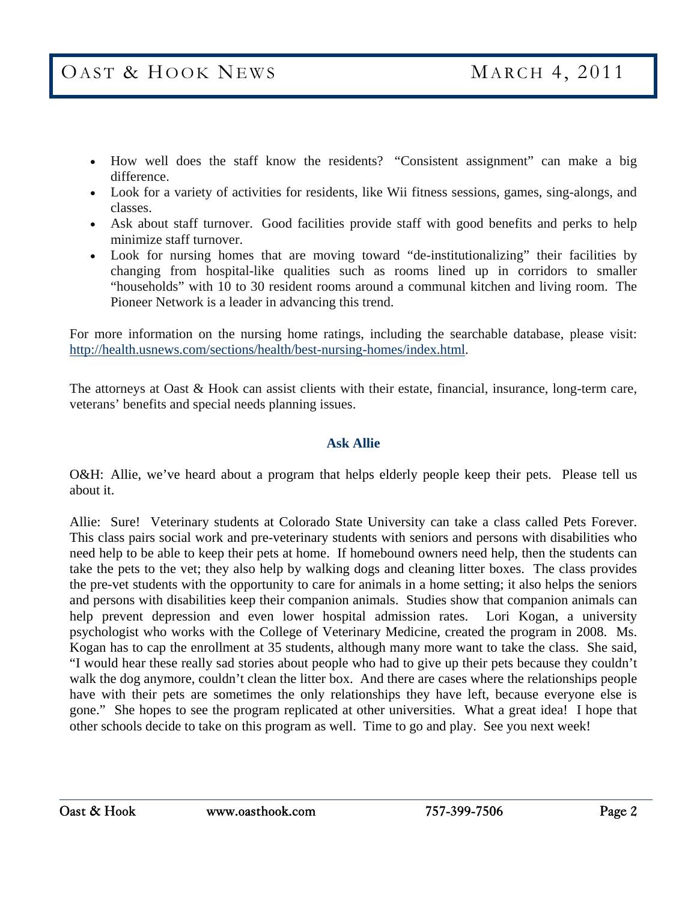- How well does the staff know the residents? "Consistent assignment" can make a big difference.
- Look for a variety of activities for residents, like Wii fitness sessions, games, sing-alongs, and classes.
- Ask about staff turnover. Good facilities provide staff with good benefits and perks to help minimize staff turnover.
- Look for nursing homes that are moving toward "de-institutionalizing" their facilities by changing from hospital-like qualities such as rooms lined up in corridors to smaller "households" with 10 to 30 resident rooms around a communal kitchen and living room. The Pioneer Network is a leader in advancing this trend.

For more information on the nursing home ratings, including the searchable database, please visit: http://health.usnews.com/sections/health/best-nursing-homes/index.html.

The attorneys at Oast & Hook can assist clients with their estate, financial, insurance, long-term care, veterans' benefits and special needs planning issues.

#### **Ask Allie**

O&H: Allie, we've heard about a program that helps elderly people keep their pets. Please tell us about it.

Allie: Sure! Veterinary students at Colorado State University can take a class called Pets Forever. This class pairs social work and pre-veterinary students with seniors and persons with disabilities who need help to be able to keep their pets at home. If homebound owners need help, then the students can take the pets to the vet; they also help by walking dogs and cleaning litter boxes. The class provides the pre-vet students with the opportunity to care for animals in a home setting; it also helps the seniors and persons with disabilities keep their companion animals. Studies show that companion animals can help prevent depression and even lower hospital admission rates. Lori Kogan, a university psychologist who works with the College of Veterinary Medicine, created the program in 2008. Ms. Kogan has to cap the enrollment at 35 students, although many more want to take the class. She said, "I would hear these really sad stories about people who had to give up their pets because they couldn't walk the dog anymore, couldn't clean the litter box. And there are cases where the relationships people have with their pets are sometimes the only relationships they have left, because everyone else is gone." She hopes to see the program replicated at other universities. What a great idea! I hope that other schools decide to take on this program as well. Time to go and play. See you next week!